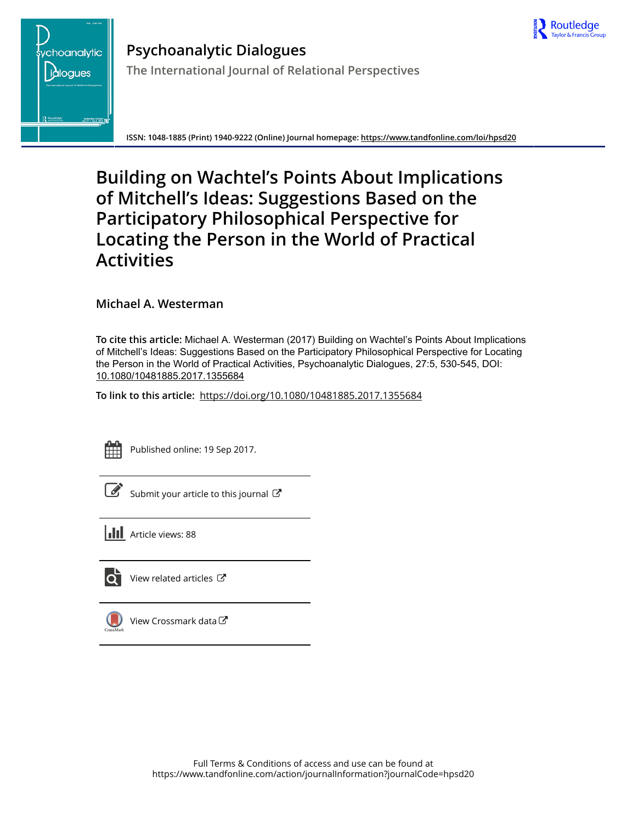



**Psychoanalytic Dialogues The International Journal of Relational Perspectives**

**ISSN: 1048-1885 (Print) 1940-9222 (Online) Journal homepage:<https://www.tandfonline.com/loi/hpsd20>**

# **Building on Wachtel's Points About Implications of Mitchell's Ideas: Suggestions Based on the Participatory Philosophical Perspective for Locating the Person in the World of Practical Activities**

**Michael A. Westerman**

**To cite this article:** Michael A. Westerman (2017) Building on Wachtel's Points About Implications of Mitchell's Ideas: Suggestions Based on the Participatory Philosophical Perspective for Locating the Person in the World of Practical Activities, Psychoanalytic Dialogues, 27:5, 530-545, DOI: [10.1080/10481885.2017.1355684](https://www.tandfonline.com/action/showCitFormats?doi=10.1080/10481885.2017.1355684)

**To link to this article:** <https://doi.org/10.1080/10481885.2017.1355684>



Published online: 19 Sep 2017.

[Submit your article to this journal](https://www.tandfonline.com/action/authorSubmission?journalCode=hpsd20&show=instructions)  $\mathbb{Z}$ 

**III** Article views: 88



[View related articles](https://www.tandfonline.com/doi/mlt/10.1080/10481885.2017.1355684)  $\mathbb{Z}$ 



[View Crossmark data](http://crossmark.crossref.org/dialog/?doi=10.1080/10481885.2017.1355684&domain=pdf&date_stamp=2017-09-19)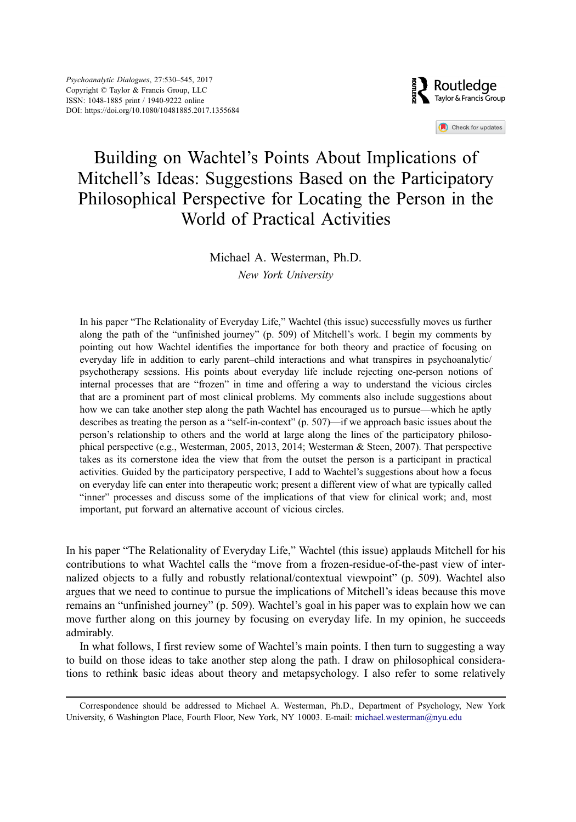

# Building on Wachtel's Points About Implications of Mitchell's Ideas: Suggestions Based on the Participatory Philosophical Perspective for Locating the Person in the World of Practical Activities

Michael A. Westerman, Ph.D. New York University

In his paper "The Relationality of Everyday Life," Wachtel (this issue) successfully moves us further along the path of the "unfinished journey" (p. 509) of Mitchell's work. I begin my comments by pointing out how Wachtel identifies the importance for both theory and practice of focusing on everyday life in addition to early parent–child interactions and what transpires in psychoanalytic/ psychotherapy sessions. His points about everyday life include rejecting one-person notions of internal processes that are "frozen" in time and offering a way to understand the vicious circles that are a prominent part of most clinical problems. My comments also include suggestions about how we can take another step along the path Wachtel has encouraged us to pursue—which he aptly describes as treating the person as a "self-in-context" (p. 507)—if we approach basic issues about the person's relationship to others and the world at large along the lines of the participatory philosophical perspective (e.g., Westerman, 2005, 2013, 2014; Westerman & Steen, 2007). That perspective takes as its cornerstone idea the view that from the outset the person is a participant in practical activities. Guided by the participatory perspective, I add to Wachtel's suggestions about how a focus on everyday life can enter into therapeutic work; present a different view of what are typically called "inner" processes and discuss some of the implications of that view for clinical work; and, most important, put forward an alternative account of vicious circles.

In his paper "The Relationality of Everyday Life," Wachtel (this issue) applauds Mitchell for his contributions to what Wachtel calls the "move from a frozen-residue-of-the-past view of internalized objects to a fully and robustly relational/contextual viewpoint" (p. 509). Wachtel also argues that we need to continue to pursue the implications of Mitchell's ideas because this move remains an "unfinished journey" (p. 509). Wachtel's goal in his paper was to explain how we can move further along on this journey by focusing on everyday life. In my opinion, he succeeds admirably.

In what follows, I first review some of Wachtel's main points. I then turn to suggesting a way to build on those ideas to take another step along the path. I draw on philosophical considerations to rethink basic ideas about theory and metapsychology. I also refer to some relatively

Correspondence should be addressed to Michael A. Westerman, Ph.D., Department of Psychology, New York University, 6 Washington Place, Fourth Floor, New York, NY 10003. E-mail: [michael.westerman@nyu.edu](mailto:michael.westerman@nyu.edu)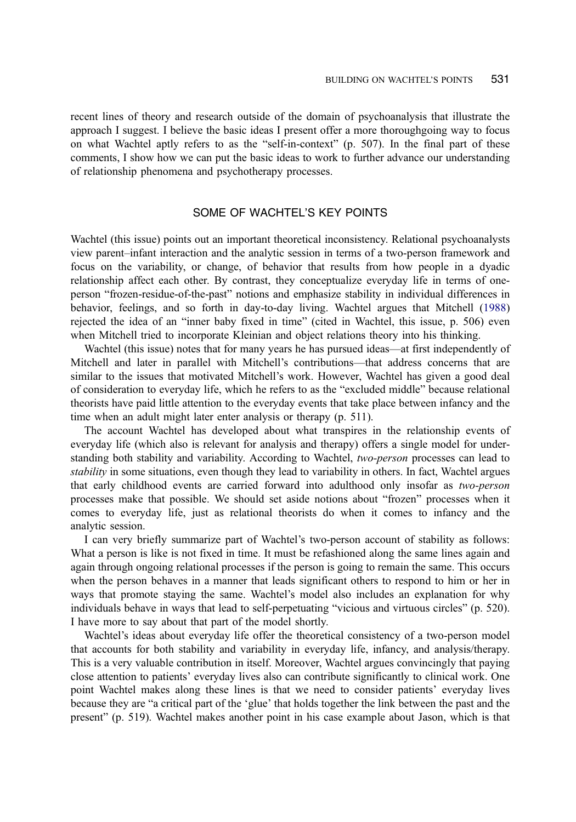recent lines of theory and research outside of the domain of psychoanalysis that illustrate the approach I suggest. I believe the basic ideas I present offer a more thoroughgoing way to focus on what Wachtel aptly refers to as the "self-in-context" (p. 507). In the final part of these comments, I show how we can put the basic ideas to work to further advance our understanding of relationship phenomena and psychotherapy processes.

# SOME OF WACHTEL'S KEY POINTS

Wachtel (this issue) points out an important theoretical inconsistency. Relational psychoanalysts view parent–infant interaction and the analytic session in terms of a two-person framework and focus on the variability, or change, of behavior that results from how people in a dyadic relationship affect each other. By contrast, they conceptualize everyday life in terms of oneperson "frozen-residue-of-the-past" notions and emphasize stability in individual differences in behavior, feelings, and so forth in day-to-day living. Wachtel argues that Mitchell ([1988\)](#page-15-0) rejected the idea of an "inner baby fixed in time" (cited in Wachtel, this issue, p. 506) even when Mitchell tried to incorporate Kleinian and object relations theory into his thinking.

Wachtel (this issue) notes that for many years he has pursued ideas—at first independently of Mitchell and later in parallel with Mitchell's contributions—that address concerns that are similar to the issues that motivated Mitchell's work. However, Wachtel has given a good deal of consideration to everyday life, which he refers to as the "excluded middle" because relational theorists have paid little attention to the everyday events that take place between infancy and the time when an adult might later enter analysis or therapy (p. 511).

The account Wachtel has developed about what transpires in the relationship events of everyday life (which also is relevant for analysis and therapy) offers a single model for understanding both stability and variability. According to Wachtel, two-person processes can lead to stability in some situations, even though they lead to variability in others. In fact, Wachtel argues that early childhood events are carried forward into adulthood only insofar as two-person processes make that possible. We should set aside notions about "frozen" processes when it comes to everyday life, just as relational theorists do when it comes to infancy and the analytic session.

I can very briefly summarize part of Wachtel's two-person account of stability as follows: What a person is like is not fixed in time. It must be refashioned along the same lines again and again through ongoing relational processes if the person is going to remain the same. This occurs when the person behaves in a manner that leads significant others to respond to him or her in ways that promote staying the same. Wachtel's model also includes an explanation for why individuals behave in ways that lead to self-perpetuating "vicious and virtuous circles" (p. 520). I have more to say about that part of the model shortly.

Wachtel's ideas about everyday life offer the theoretical consistency of a two-person model that accounts for both stability and variability in everyday life, infancy, and analysis/therapy. This is a very valuable contribution in itself. Moreover, Wachtel argues convincingly that paying close attention to patients' everyday lives also can contribute significantly to clinical work. One point Wachtel makes along these lines is that we need to consider patients' everyday lives because they are "a critical part of the 'glue' that holds together the link between the past and the present" (p. 519). Wachtel makes another point in his case example about Jason, which is that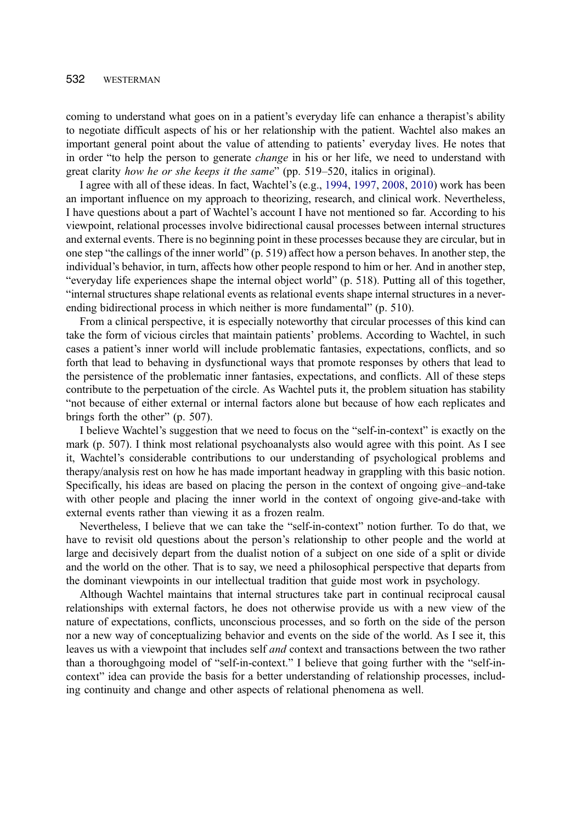coming to understand what goes on in a patient's everyday life can enhance a therapist's ability to negotiate difficult aspects of his or her relationship with the patient. Wachtel also makes an important general point about the value of attending to patients' everyday lives. He notes that in order "to help the person to generate *change* in his or her life, we need to understand with great clarity how he or she keeps it the same" (pp. 519–520, italics in original).

I agree with all of these ideas. In fact, Wachtel's (e.g., [1994](#page-15-0), [1997](#page-15-0), [2008](#page-15-0), [2010](#page-15-0)) work has been an important influence on my approach to theorizing, research, and clinical work. Nevertheless, I have questions about a part of Wachtel's account I have not mentioned so far. According to his viewpoint, relational processes involve bidirectional causal processes between internal structures and external events. There is no beginning point in these processes because they are circular, but in one step "the callings of the inner world" (p. 519) affect how a person behaves. In another step, the individual's behavior, in turn, affects how other people respond to him or her. And in another step, "everyday life experiences shape the internal object world" (p. 518). Putting all of this together, "internal structures shape relational events as relational events shape internal structures in a neverending bidirectional process in which neither is more fundamental" (p. 510).

From a clinical perspective, it is especially noteworthy that circular processes of this kind can take the form of vicious circles that maintain patients' problems. According to Wachtel, in such cases a patient's inner world will include problematic fantasies, expectations, conflicts, and so forth that lead to behaving in dysfunctional ways that promote responses by others that lead to the persistence of the problematic inner fantasies, expectations, and conflicts. All of these steps contribute to the perpetuation of the circle. As Wachtel puts it, the problem situation has stability "not because of either external or internal factors alone but because of how each replicates and brings forth the other" (p. 507).

I believe Wachtel's suggestion that we need to focus on the "self-in-context" is exactly on the mark (p. 507). I think most relational psychoanalysts also would agree with this point. As I see it, Wachtel's considerable contributions to our understanding of psychological problems and therapy/analysis rest on how he has made important headway in grappling with this basic notion. Specifically, his ideas are based on placing the person in the context of ongoing give–and-take with other people and placing the inner world in the context of ongoing give-and-take with external events rather than viewing it as a frozen realm.

Nevertheless, I believe that we can take the "self-in-context" notion further. To do that, we have to revisit old questions about the person's relationship to other people and the world at large and decisively depart from the dualist notion of a subject on one side of a split or divide and the world on the other. That is to say, we need a philosophical perspective that departs from the dominant viewpoints in our intellectual tradition that guide most work in psychology.

Although Wachtel maintains that internal structures take part in continual reciprocal causal relationships with external factors, he does not otherwise provide us with a new view of the nature of expectations, conflicts, unconscious processes, and so forth on the side of the person nor a new way of conceptualizing behavior and events on the side of the world. As I see it, this leaves us with a viewpoint that includes self and context and transactions between the two rather than a thoroughgoing model of "self-in-context." I believe that going further with the "self-incontext" idea can provide the basis for a better understanding of relationship processes, including continuity and change and other aspects of relational phenomena as well.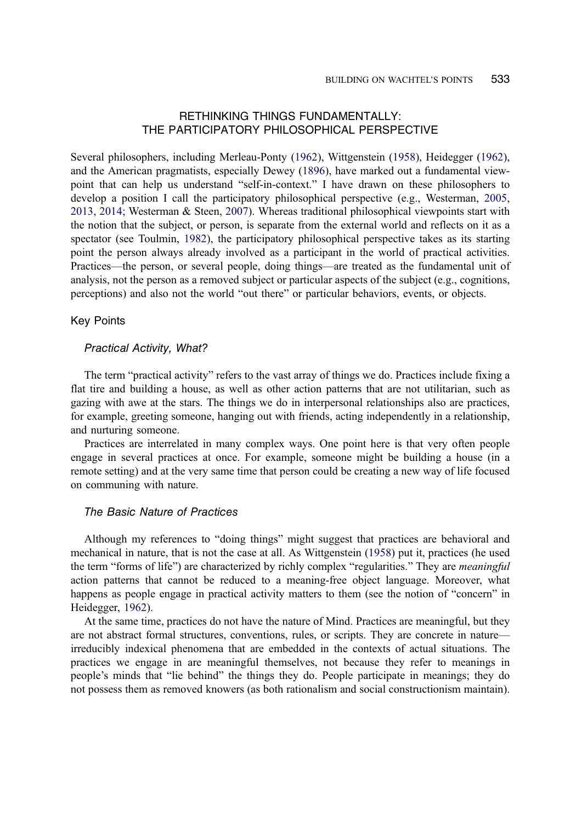# RETHINKING THINGS FUNDAMENTALLY: THE PARTICIPATORY PHILOSOPHICAL PERSPECTIVE

Several philosophers, including Merleau-Ponty ([1962\)](#page-15-0), Wittgenstein ([1958\)](#page-15-0), Heidegger [\(1962](#page-15-0)), and the American pragmatists, especially Dewey [\(1896](#page-14-0)), have marked out a fundamental viewpoint that can help us understand "self-in-context." I have drawn on these philosophers to develop a position I call the participatory philosophical perspective (e.g., Westerman, [2005,](#page-15-0) [2013,](#page-15-0) [2014](#page-15-0); Westerman & Steen, [2007](#page-15-0)). Whereas traditional philosophical viewpoints start with the notion that the subject, or person, is separate from the external world and reflects on it as a spectator (see Toulmin, [1982\)](#page-15-0), the participatory philosophical perspective takes as its starting point the person always already involved as a participant in the world of practical activities. Practices—the person, or several people, doing things—are treated as the fundamental unit of analysis, not the person as a removed subject or particular aspects of the subject (e.g., cognitions, perceptions) and also not the world "out there" or particular behaviors, events, or objects.

# Key Points

# Practical Activity, What?

The term "practical activity" refers to the vast array of things we do. Practices include fixing a flat tire and building a house, as well as other action patterns that are not utilitarian, such as gazing with awe at the stars. The things we do in interpersonal relationships also are practices, for example, greeting someone, hanging out with friends, acting independently in a relationship, and nurturing someone.

Practices are interrelated in many complex ways. One point here is that very often people engage in several practices at once. For example, someone might be building a house (in a remote setting) and at the very same time that person could be creating a new way of life focused on communing with nature.

#### The Basic Nature of Practices

Although my references to "doing things" might suggest that practices are behavioral and mechanical in nature, that is not the case at all. As Wittgenstein [\(1958](#page-15-0)) put it, practices (he used the term "forms of life") are characterized by richly complex "regularities." They are *meaningful* action patterns that cannot be reduced to a meaning-free object language. Moreover, what happens as people engage in practical activity matters to them (see the notion of "concern" in Heidegger, [1962](#page-15-0)).

At the same time, practices do not have the nature of Mind. Practices are meaningful, but they are not abstract formal structures, conventions, rules, or scripts. They are concrete in nature irreducibly indexical phenomena that are embedded in the contexts of actual situations. The practices we engage in are meaningful themselves, not because they refer to meanings in people's minds that "lie behind" the things they do. People participate in meanings; they do not possess them as removed knowers (as both rationalism and social constructionism maintain).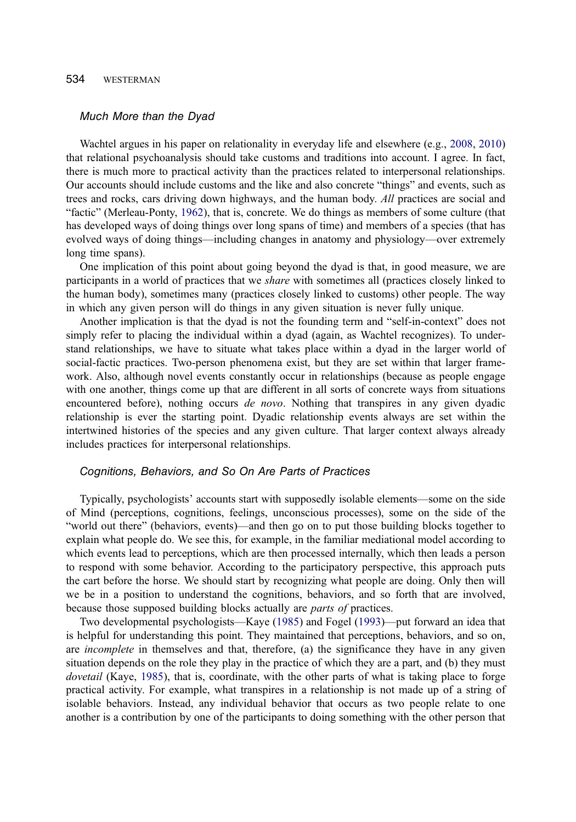## Much More than the Dyad

Wachtel argues in his paper on relationality in everyday life and elsewhere (e.g., [2008,](#page-15-0) [2010\)](#page-15-0) that relational psychoanalysis should take customs and traditions into account. I agree. In fact, there is much more to practical activity than the practices related to interpersonal relationships. Our accounts should include customs and the like and also concrete "things" and events, such as trees and rocks, cars driving down highways, and the human body. All practices are social and "factic" (Merleau-Ponty, [1962](#page-15-0)), that is, concrete. We do things as members of some culture (that has developed ways of doing things over long spans of time) and members of a species (that has evolved ways of doing things—including changes in anatomy and physiology—over extremely long time spans).

One implication of this point about going beyond the dyad is that, in good measure, we are participants in a world of practices that we share with sometimes all (practices closely linked to the human body), sometimes many (practices closely linked to customs) other people. The way in which any given person will do things in any given situation is never fully unique.

Another implication is that the dyad is not the founding term and "self-in-context" does not simply refer to placing the individual within a dyad (again, as Wachtel recognizes). To understand relationships, we have to situate what takes place within a dyad in the larger world of social-factic practices. Two-person phenomena exist, but they are set within that larger framework. Also, although novel events constantly occur in relationships (because as people engage with one another, things come up that are different in all sorts of concrete ways from situations encountered before), nothing occurs de novo. Nothing that transpires in any given dyadic relationship is ever the starting point. Dyadic relationship events always are set within the intertwined histories of the species and any given culture. That larger context always already includes practices for interpersonal relationships.

#### Cognitions, Behaviors, and So On Are Parts of Practices

Typically, psychologists' accounts start with supposedly isolable elements—some on the side of Mind (perceptions, cognitions, feelings, unconscious processes), some on the side of the "world out there" (behaviors, events)—and then go on to put those building blocks together to explain what people do. We see this, for example, in the familiar mediational model according to which events lead to perceptions, which are then processed internally, which then leads a person to respond with some behavior. According to the participatory perspective, this approach puts the cart before the horse. We should start by recognizing what people are doing. Only then will we be in a position to understand the cognitions, behaviors, and so forth that are involved, because those supposed building blocks actually are parts of practices.

Two developmental psychologists—Kaye ([1985\)](#page-15-0) and Fogel ([1993](#page-15-0))—put forward an idea that is helpful for understanding this point. They maintained that perceptions, behaviors, and so on, are *incomplete* in themselves and that, therefore, (a) the significance they have in any given situation depends on the role they play in the practice of which they are a part, and (b) they must dovetail (Kaye, [1985](#page-15-0)), that is, coordinate, with the other parts of what is taking place to forge practical activity. For example, what transpires in a relationship is not made up of a string of isolable behaviors. Instead, any individual behavior that occurs as two people relate to one another is a contribution by one of the participants to doing something with the other person that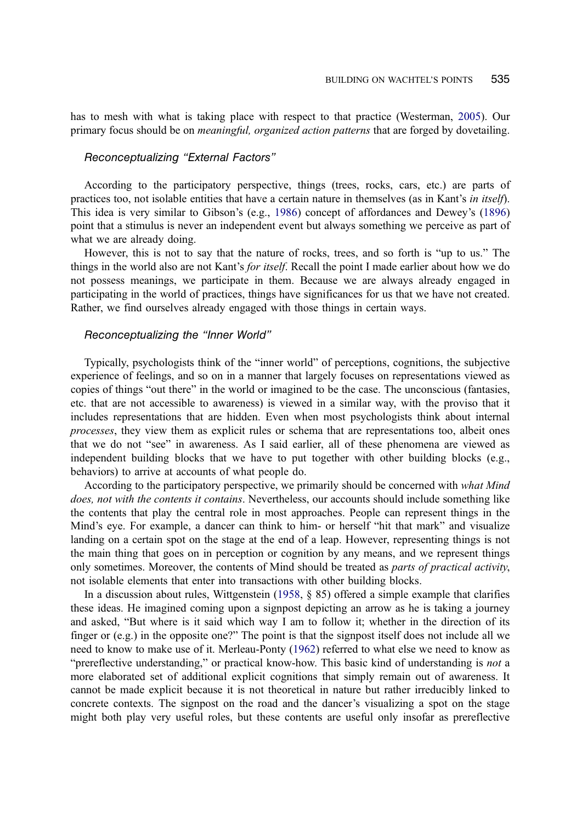has to mesh with what is taking place with respect to that practice (Westerman, [2005\)](#page-15-0). Our primary focus should be on *meaningful, organized action patterns* that are forged by dovetailing.

# Reconceptualizing "External Factors"

According to the participatory perspective, things (trees, rocks, cars, etc.) are parts of practices too, not isolable entities that have a certain nature in themselves (as in Kant's in itself). This idea is very similar to Gibson's (e.g., [1986](#page-15-0)) concept of affordances and Dewey's ([1896\)](#page-14-0) point that a stimulus is never an independent event but always something we perceive as part of what we are already doing.

However, this is not to say that the nature of rocks, trees, and so forth is "up to us." The things in the world also are not Kant's for itself. Recall the point I made earlier about how we do not possess meanings, we participate in them. Because we are always already engaged in participating in the world of practices, things have significances for us that we have not created. Rather, we find ourselves already engaged with those things in certain ways.

# Reconceptualizing the "Inner World"

Typically, psychologists think of the "inner world" of perceptions, cognitions, the subjective experience of feelings, and so on in a manner that largely focuses on representations viewed as copies of things "out there" in the world or imagined to be the case. The unconscious (fantasies, etc. that are not accessible to awareness) is viewed in a similar way, with the proviso that it includes representations that are hidden. Even when most psychologists think about internal processes, they view them as explicit rules or schema that are representations too, albeit ones that we do not "see" in awareness. As I said earlier, all of these phenomena are viewed as independent building blocks that we have to put together with other building blocks (e.g., behaviors) to arrive at accounts of what people do.

According to the participatory perspective, we primarily should be concerned with *what Mind* does, not with the contents it contains. Nevertheless, our accounts should include something like the contents that play the central role in most approaches. People can represent things in the Mind's eye. For example, a dancer can think to him- or herself "hit that mark" and visualize landing on a certain spot on the stage at the end of a leap. However, representing things is not the main thing that goes on in perception or cognition by any means, and we represent things only sometimes. Moreover, the contents of Mind should be treated as *parts of practical activity*, not isolable elements that enter into transactions with other building blocks.

In a discussion about rules, Wittgenstein ([1958,](#page-15-0) § 85) offered a simple example that clarifies these ideas. He imagined coming upon a signpost depicting an arrow as he is taking a journey and asked, "But where is it said which way I am to follow it; whether in the direction of its finger or (e.g.) in the opposite one?" The point is that the signpost itself does not include all we need to know to make use of it. Merleau-Ponty [\(1962](#page-15-0)) referred to what else we need to know as "prereflective understanding," or practical know-how. This basic kind of understanding is *not* a more elaborated set of additional explicit cognitions that simply remain out of awareness. It cannot be made explicit because it is not theoretical in nature but rather irreducibly linked to concrete contexts. The signpost on the road and the dancer's visualizing a spot on the stage might both play very useful roles, but these contents are useful only insofar as prereflective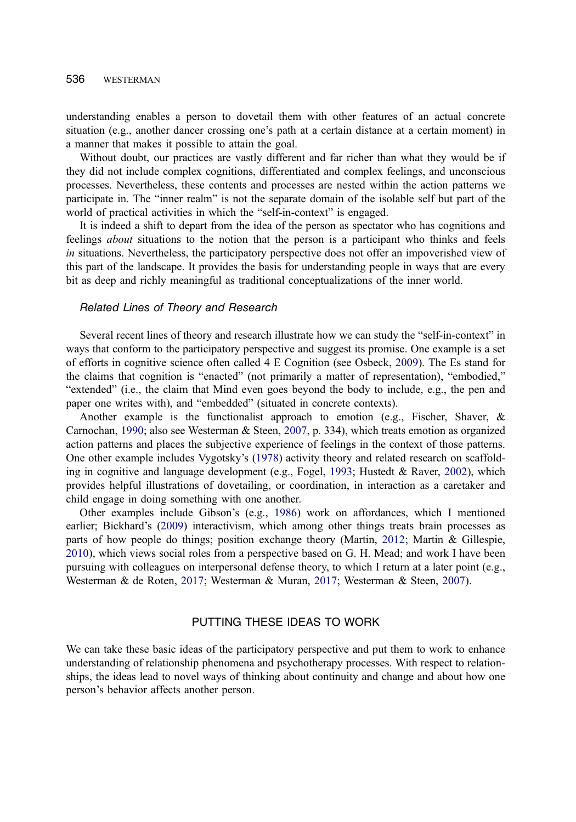understanding enables a person to dovetail them with other features of an actual concrete situation (e.g., another dancer crossing one's path at a certain distance at a certain moment) in a manner that makes it possible to attain the goal.

Without doubt, our practices are vastly different and far richer than what they would be if they did not include complex cognitions, differentiated and complex feelings, and unconscious processes. Nevertheless, these contents and processes are nested within the action patterns we participate in. The "inner realm" is not the separate domain of the isolable self but part of the world of practical activities in which the "self-in-context" is engaged.

It is indeed a shift to depart from the idea of the person as spectator who has cognitions and feelings about situations to the notion that the person is a participant who thinks and feels in situations. Nevertheless, the participatory perspective does not offer an impoverished view of this part of the landscape. It provides the basis for understanding people in ways that are every bit as deep and richly meaningful as traditional conceptualizations of the inner world.

#### Related Lines of Theory and Research

Several recent lines of theory and research illustrate how we can study the "self-in-context" in ways that conform to the participatory perspective and suggest its promise. One example is a set of efforts in cognitive science often called 4 E Cognition (see Osbeck, [2009](#page-15-0)). The Es stand for the claims that cognition is "enacted" (not primarily a matter of representation), "embodied," "extended" (i.e., the claim that Mind even goes beyond the body to include, e.g., the pen and paper one writes with), and "embedded" (situated in concrete contexts).

Another example is the functionalist approach to emotion (e.g., Fischer, Shaver, & Carnochan, [1990;](#page-15-0) also see Westerman & Steen, [2007,](#page-15-0) p. 334), which treats emotion as organized action patterns and places the subjective experience of feelings in the context of those patterns. One other example includes Vygotsky's ([1978\)](#page-15-0) activity theory and related research on scaffolding in cognitive and language development (e.g., Fogel, [1993](#page-15-0); Hustedt & Raver, [2002\)](#page-15-0), which provides helpful illustrations of dovetailing, or coordination, in interaction as a caretaker and child engage in doing something with one another.

Other examples include Gibson's (e.g., [1986\)](#page-15-0) work on affordances, which I mentioned earlier; Bickhard's ([2009\)](#page-14-0) interactivism, which among other things treats brain processes as parts of how people do things; position exchange theory (Martin, [2012](#page-15-0); Martin & Gillespie, [2010\)](#page-15-0), which views social roles from a perspective based on G. H. Mead; and work I have been pursuing with colleagues on interpersonal defense theory, to which I return at a later point (e.g., Westerman & de Roten, [2017](#page-15-0); Westerman & Muran, [2017;](#page-15-0) Westerman & Steen, [2007](#page-15-0)).

# PUTTING THESE IDEAS TO WORK

We can take these basic ideas of the participatory perspective and put them to work to enhance understanding of relationship phenomena and psychotherapy processes. With respect to relationships, the ideas lead to novel ways of thinking about continuity and change and about how one person's behavior affects another person.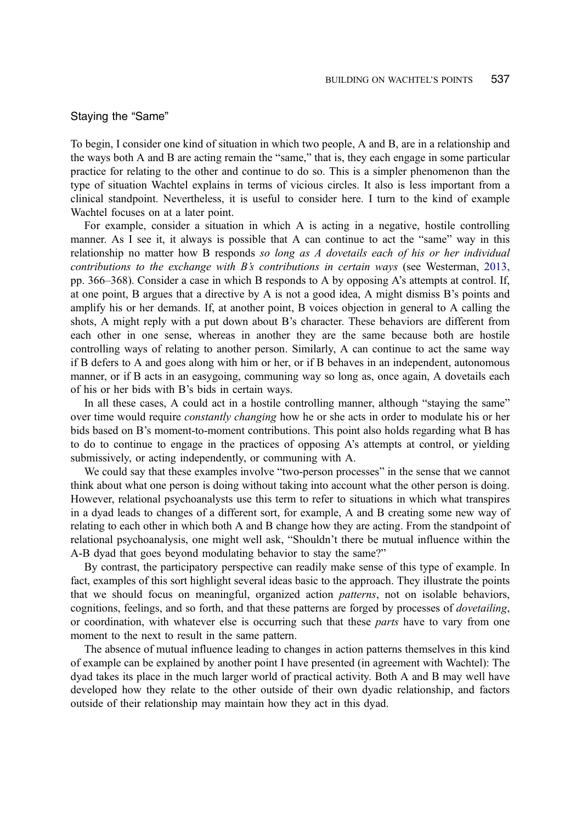#### Staying the "Same"

To begin, I consider one kind of situation in which two people, A and B, are in a relationship and the ways both A and B are acting remain the "same," that is, they each engage in some particular practice for relating to the other and continue to do so. This is a simpler phenomenon than the type of situation Wachtel explains in terms of vicious circles. It also is less important from a clinical standpoint. Nevertheless, it is useful to consider here. I turn to the kind of example Wachtel focuses on at a later point.

For example, consider a situation in which A is acting in a negative, hostile controlling manner. As I see it, it always is possible that A can continue to act the "same" way in this relationship no matter how B responds so long as A dovetails each of his or her individual contributions to the exchange with B's contributions in certain ways (see Westerman, [2013,](#page-15-0) pp. 366–368). Consider a case in which B responds to A by opposing A's attempts at control. If, at one point, B argues that a directive by A is not a good idea, A might dismiss B's points and amplify his or her demands. If, at another point, B voices objection in general to A calling the shots, A might reply with a put down about B's character. These behaviors are different from each other in one sense, whereas in another they are the same because both are hostile controlling ways of relating to another person. Similarly, A can continue to act the same way if B defers to A and goes along with him or her, or if B behaves in an independent, autonomous manner, or if B acts in an easygoing, communing way so long as, once again, A dovetails each of his or her bids with B's bids in certain ways.

In all these cases, A could act in a hostile controlling manner, although "staying the same" over time would require *constantly changing* how he or she acts in order to modulate his or her bids based on B's moment-to-moment contributions. This point also holds regarding what B has to do to continue to engage in the practices of opposing A's attempts at control, or yielding submissively, or acting independently, or communing with A.

We could say that these examples involve "two-person processes" in the sense that we cannot think about what one person is doing without taking into account what the other person is doing. However, relational psychoanalysts use this term to refer to situations in which what transpires in a dyad leads to changes of a different sort, for example, A and B creating some new way of relating to each other in which both A and B change how they are acting. From the standpoint of relational psychoanalysis, one might well ask, "Shouldn't there be mutual influence within the A-B dyad that goes beyond modulating behavior to stay the same?"

By contrast, the participatory perspective can readily make sense of this type of example. In fact, examples of this sort highlight several ideas basic to the approach. They illustrate the points that we should focus on meaningful, organized action *patterns*, not on isolable behaviors, cognitions, feelings, and so forth, and that these patterns are forged by processes of *dovetailing*, or coordination, with whatever else is occurring such that these *parts* have to vary from one moment to the next to result in the same pattern.

The absence of mutual influence leading to changes in action patterns themselves in this kind of example can be explained by another point I have presented (in agreement with Wachtel): The dyad takes its place in the much larger world of practical activity. Both A and B may well have developed how they relate to the other outside of their own dyadic relationship, and factors outside of their relationship may maintain how they act in this dyad.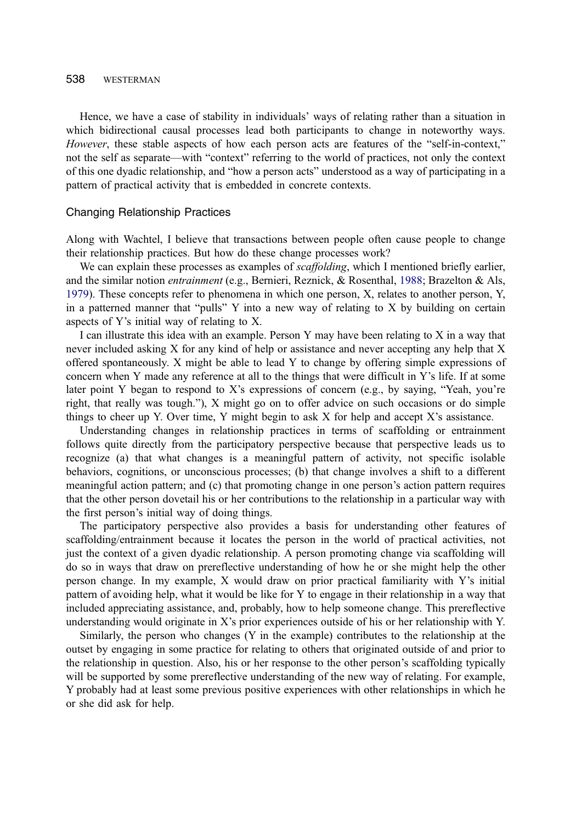Hence, we have a case of stability in individuals' ways of relating rather than a situation in which bidirectional causal processes lead both participants to change in noteworthy ways. However, these stable aspects of how each person acts are features of the "self-in-context," not the self as separate—with "context" referring to the world of practices, not only the context of this one dyadic relationship, and "how a person acts" understood as a way of participating in a pattern of practical activity that is embedded in concrete contexts.

#### Changing Relationship Practices

Along with Wachtel, I believe that transactions between people often cause people to change their relationship practices. But how do these change processes work?

We can explain these processes as examples of *scaffolding*, which I mentioned briefly earlier, and the similar notion entrainment (e.g., Bernieri, Reznick, & Rosenthal, [1988;](#page-14-0) Brazelton & Als, [1979\)](#page-14-0). These concepts refer to phenomena in which one person, X, relates to another person, Y, in a patterned manner that "pulls" Y into a new way of relating to X by building on certain aspects of Y's initial way of relating to X.

I can illustrate this idea with an example. Person Y may have been relating to X in a way that never included asking X for any kind of help or assistance and never accepting any help that X offered spontaneously. X might be able to lead Y to change by offering simple expressions of concern when Y made any reference at all to the things that were difficult in Y's life. If at some later point Y began to respond to X's expressions of concern (e.g., by saying, "Yeah, you're right, that really was tough."), X might go on to offer advice on such occasions or do simple things to cheer up Y. Over time, Y might begin to ask X for help and accept X's assistance.

Understanding changes in relationship practices in terms of scaffolding or entrainment follows quite directly from the participatory perspective because that perspective leads us to recognize (a) that what changes is a meaningful pattern of activity, not specific isolable behaviors, cognitions, or unconscious processes; (b) that change involves a shift to a different meaningful action pattern; and (c) that promoting change in one person's action pattern requires that the other person dovetail his or her contributions to the relationship in a particular way with the first person's initial way of doing things.

The participatory perspective also provides a basis for understanding other features of scaffolding/entrainment because it locates the person in the world of practical activities, not just the context of a given dyadic relationship. A person promoting change via scaffolding will do so in ways that draw on prereflective understanding of how he or she might help the other person change. In my example, X would draw on prior practical familiarity with Y's initial pattern of avoiding help, what it would be like for Y to engage in their relationship in a way that included appreciating assistance, and, probably, how to help someone change. This prereflective understanding would originate in X's prior experiences outside of his or her relationship with Y.

Similarly, the person who changes (Y in the example) contributes to the relationship at the outset by engaging in some practice for relating to others that originated outside of and prior to the relationship in question. Also, his or her response to the other person's scaffolding typically will be supported by some prereflective understanding of the new way of relating. For example, Y probably had at least some previous positive experiences with other relationships in which he or she did ask for help.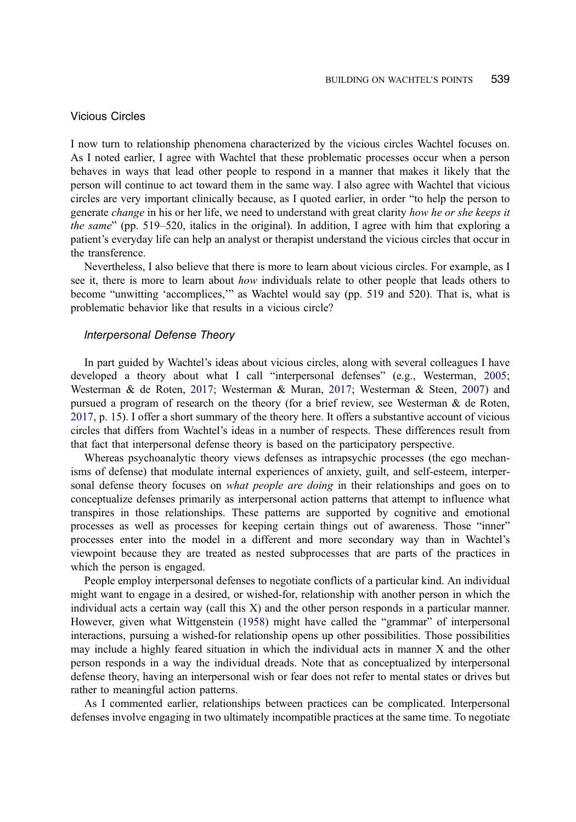# Vicious Circles

I now turn to relationship phenomena characterized by the vicious circles Wachtel focuses on. As I noted earlier, I agree with Wachtel that these problematic processes occur when a person behaves in ways that lead other people to respond in a manner that makes it likely that the person will continue to act toward them in the same way. I also agree with Wachtel that vicious circles are very important clinically because, as I quoted earlier, in order "to help the person to generate change in his or her life, we need to understand with great clarity how he or she keeps it the same" (pp. 519–520, italics in the original). In addition, I agree with him that exploring a patient's everyday life can help an analyst or therapist understand the vicious circles that occur in the transference.

Nevertheless, I also believe that there is more to learn about vicious circles. For example, as I see it, there is more to learn about *how* individuals relate to other people that leads others to become "unwitting 'accomplices,'" as Wachtel would say (pp. 519 and 520). That is, what is problematic behavior like that results in a vicious circle?

#### Interpersonal Defense Theory

In part guided by Wachtel's ideas about vicious circles, along with several colleagues I have developed a theory about what I call "interpersonal defenses" (e.g., Westerman, [2005](#page-15-0); Westerman & de Roten, [2017;](#page-15-0) Westerman & Muran, [2017;](#page-15-0) Westerman & Steen, [2007](#page-15-0)) and pursued a program of research on the theory (for a brief review, see Westerman & de Roten, [2017,](#page-15-0) p. 15). I offer a short summary of the theory here. It offers a substantive account of vicious circles that differs from Wachtel's ideas in a number of respects. These differences result from that fact that interpersonal defense theory is based on the participatory perspective.

Whereas psychoanalytic theory views defenses as intrapsychic processes (the ego mechanisms of defense) that modulate internal experiences of anxiety, guilt, and self-esteem, interpersonal defense theory focuses on *what people are doing* in their relationships and goes on to conceptualize defenses primarily as interpersonal action patterns that attempt to influence what transpires in those relationships. These patterns are supported by cognitive and emotional processes as well as processes for keeping certain things out of awareness. Those "inner" processes enter into the model in a different and more secondary way than in Wachtel's viewpoint because they are treated as nested subprocesses that are parts of the practices in which the person is engaged.

People employ interpersonal defenses to negotiate conflicts of a particular kind. An individual might want to engage in a desired, or wished-for, relationship with another person in which the individual acts a certain way (call this X) and the other person responds in a particular manner. However, given what Wittgenstein ([1958\)](#page-15-0) might have called the "grammar" of interpersonal interactions, pursuing a wished-for relationship opens up other possibilities. Those possibilities may include a highly feared situation in which the individual acts in manner X and the other person responds in a way the individual dreads. Note that as conceptualized by interpersonal defense theory, having an interpersonal wish or fear does not refer to mental states or drives but rather to meaningful action patterns.

As I commented earlier, relationships between practices can be complicated. Interpersonal defenses involve engaging in two ultimately incompatible practices at the same time. To negotiate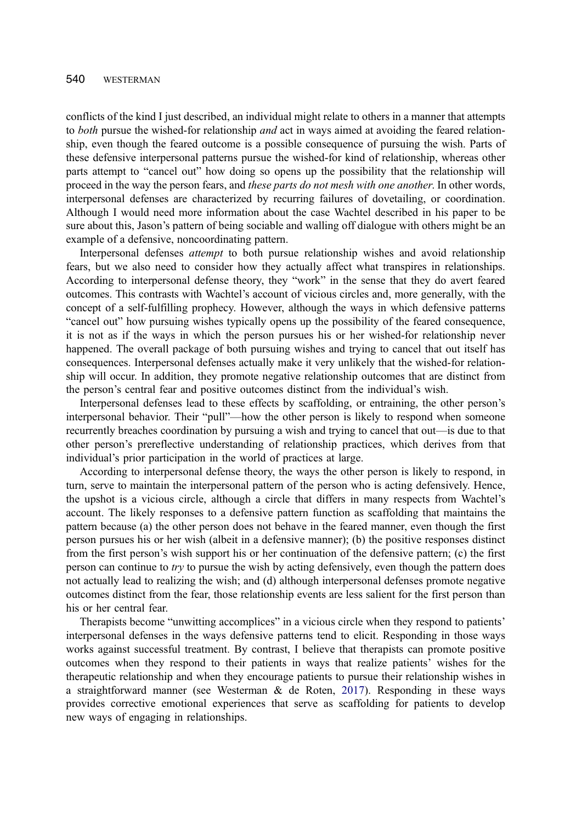conflicts of the kind I just described, an individual might relate to others in a manner that attempts to *both* pursue the wished-for relationship *and* act in ways aimed at avoiding the feared relationship, even though the feared outcome is a possible consequence of pursuing the wish. Parts of these defensive interpersonal patterns pursue the wished-for kind of relationship, whereas other parts attempt to "cancel out" how doing so opens up the possibility that the relationship will proceed in the way the person fears, and these parts do not mesh with one another. In other words, interpersonal defenses are characterized by recurring failures of dovetailing, or coordination. Although I would need more information about the case Wachtel described in his paper to be sure about this, Jason's pattern of being sociable and walling off dialogue with others might be an example of a defensive, noncoordinating pattern.

Interpersonal defenses attempt to both pursue relationship wishes and avoid relationship fears, but we also need to consider how they actually affect what transpires in relationships. According to interpersonal defense theory, they "work" in the sense that they do avert feared outcomes. This contrasts with Wachtel's account of vicious circles and, more generally, with the concept of a self-fulfilling prophecy. However, although the ways in which defensive patterns "cancel out" how pursuing wishes typically opens up the possibility of the feared consequence, it is not as if the ways in which the person pursues his or her wished-for relationship never happened. The overall package of both pursuing wishes and trying to cancel that out itself has consequences. Interpersonal defenses actually make it very unlikely that the wished-for relationship will occur. In addition, they promote negative relationship outcomes that are distinct from the person's central fear and positive outcomes distinct from the individual's wish.

Interpersonal defenses lead to these effects by scaffolding, or entraining, the other person's interpersonal behavior. Their "pull"—how the other person is likely to respond when someone recurrently breaches coordination by pursuing a wish and trying to cancel that out—is due to that other person's prereflective understanding of relationship practices, which derives from that individual's prior participation in the world of practices at large.

According to interpersonal defense theory, the ways the other person is likely to respond, in turn, serve to maintain the interpersonal pattern of the person who is acting defensively. Hence, the upshot is a vicious circle, although a circle that differs in many respects from Wachtel's account. The likely responses to a defensive pattern function as scaffolding that maintains the pattern because (a) the other person does not behave in the feared manner, even though the first person pursues his or her wish (albeit in a defensive manner); (b) the positive responses distinct from the first person's wish support his or her continuation of the defensive pattern; (c) the first person can continue to try to pursue the wish by acting defensively, even though the pattern does not actually lead to realizing the wish; and (d) although interpersonal defenses promote negative outcomes distinct from the fear, those relationship events are less salient for the first person than his or her central fear.

Therapists become "unwitting accomplices" in a vicious circle when they respond to patients' interpersonal defenses in the ways defensive patterns tend to elicit. Responding in those ways works against successful treatment. By contrast, I believe that therapists can promote positive outcomes when they respond to their patients in ways that realize patients' wishes for the therapeutic relationship and when they encourage patients to pursue their relationship wishes in a straightforward manner (see Westerman & de Roten, [2017\)](#page-15-0). Responding in these ways provides corrective emotional experiences that serve as scaffolding for patients to develop new ways of engaging in relationships.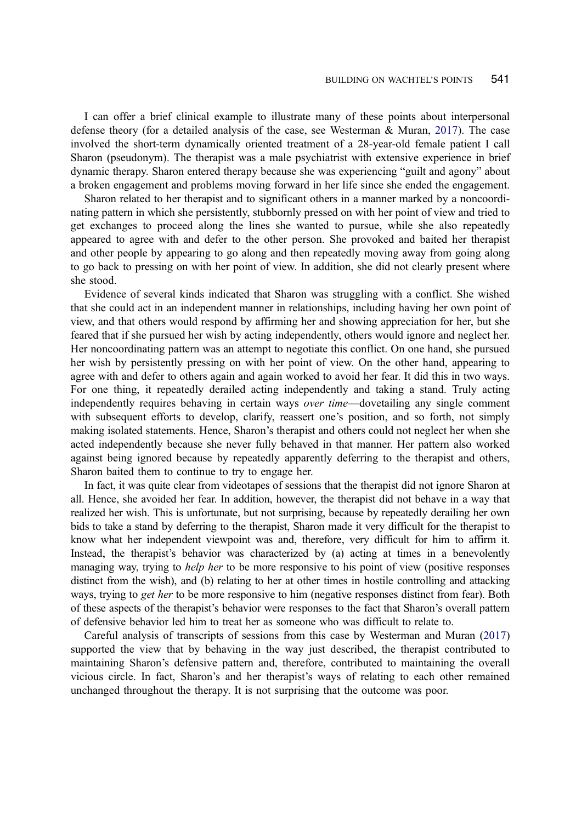I can offer a brief clinical example to illustrate many of these points about interpersonal defense theory (for a detailed analysis of the case, see Westerman & Muran, [2017\)](#page-15-0). The case involved the short-term dynamically oriented treatment of a 28-year-old female patient I call Sharon (pseudonym). The therapist was a male psychiatrist with extensive experience in brief dynamic therapy. Sharon entered therapy because she was experiencing "guilt and agony" about a broken engagement and problems moving forward in her life since she ended the engagement.

Sharon related to her therapist and to significant others in a manner marked by a noncoordinating pattern in which she persistently, stubbornly pressed on with her point of view and tried to get exchanges to proceed along the lines she wanted to pursue, while she also repeatedly appeared to agree with and defer to the other person. She provoked and baited her therapist and other people by appearing to go along and then repeatedly moving away from going along to go back to pressing on with her point of view. In addition, she did not clearly present where she stood.

Evidence of several kinds indicated that Sharon was struggling with a conflict. She wished that she could act in an independent manner in relationships, including having her own point of view, and that others would respond by affirming her and showing appreciation for her, but she feared that if she pursued her wish by acting independently, others would ignore and neglect her. Her noncoordinating pattern was an attempt to negotiate this conflict. On one hand, she pursued her wish by persistently pressing on with her point of view. On the other hand, appearing to agree with and defer to others again and again worked to avoid her fear. It did this in two ways. For one thing, it repeatedly derailed acting independently and taking a stand. Truly acting independently requires behaving in certain ways over time—dovetailing any single comment with subsequent efforts to develop, clarify, reassert one's position, and so forth, not simply making isolated statements. Hence, Sharon's therapist and others could not neglect her when she acted independently because she never fully behaved in that manner. Her pattern also worked against being ignored because by repeatedly apparently deferring to the therapist and others, Sharon baited them to continue to try to engage her.

In fact, it was quite clear from videotapes of sessions that the therapist did not ignore Sharon at all. Hence, she avoided her fear. In addition, however, the therapist did not behave in a way that realized her wish. This is unfortunate, but not surprising, because by repeatedly derailing her own bids to take a stand by deferring to the therapist, Sharon made it very difficult for the therapist to know what her independent viewpoint was and, therefore, very difficult for him to affirm it. Instead, the therapist's behavior was characterized by (a) acting at times in a benevolently managing way, trying to *help her* to be more responsive to his point of view (positive responses distinct from the wish), and (b) relating to her at other times in hostile controlling and attacking ways, trying to *get her* to be more responsive to him (negative responses distinct from fear). Both of these aspects of the therapist's behavior were responses to the fact that Sharon's overall pattern of defensive behavior led him to treat her as someone who was difficult to relate to.

Careful analysis of transcripts of sessions from this case by Westerman and Muran [\(2017\)](#page-15-0) supported the view that by behaving in the way just described, the therapist contributed to maintaining Sharon's defensive pattern and, therefore, contributed to maintaining the overall vicious circle. In fact, Sharon's and her therapist's ways of relating to each other remained unchanged throughout the therapy. It is not surprising that the outcome was poor.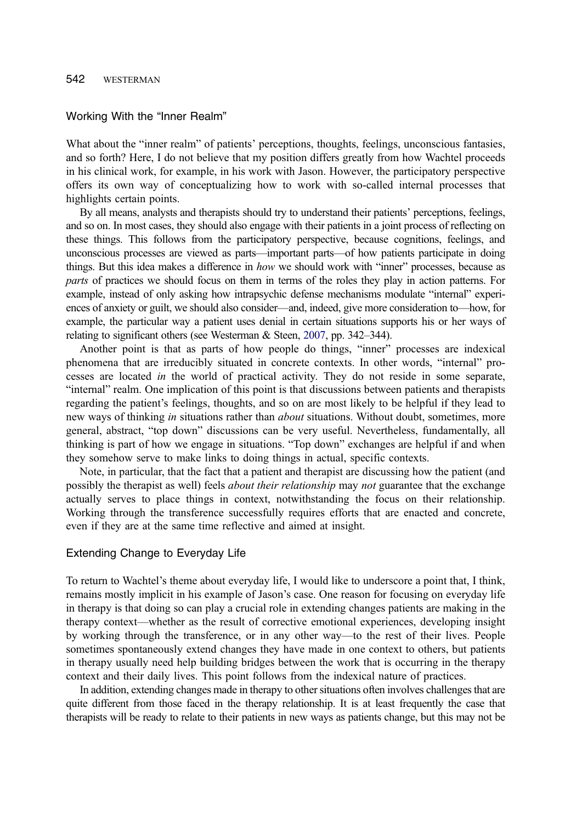# Working With the "Inner Realm"

What about the "inner realm" of patients' perceptions, thoughts, feelings, unconscious fantasies, and so forth? Here, I do not believe that my position differs greatly from how Wachtel proceeds in his clinical work, for example, in his work with Jason. However, the participatory perspective offers its own way of conceptualizing how to work with so-called internal processes that highlights certain points.

By all means, analysts and therapists should try to understand their patients' perceptions, feelings, and so on. In most cases, they should also engage with their patients in a joint process of reflecting on these things. This follows from the participatory perspective, because cognitions, feelings, and unconscious processes are viewed as parts—important parts—of how patients participate in doing things. But this idea makes a difference in how we should work with "inner" processes, because as parts of practices we should focus on them in terms of the roles they play in action patterns. For example, instead of only asking how intrapsychic defense mechanisms modulate "internal" experiences of anxiety or guilt, we should also consider—and, indeed, give more consideration to—how, for example, the particular way a patient uses denial in certain situations supports his or her ways of relating to significant others (see Westerman & Steen, [2007,](#page-15-0) pp. 342–344).

Another point is that as parts of how people do things, "inner" processes are indexical phenomena that are irreducibly situated in concrete contexts. In other words, "internal" processes are located in the world of practical activity. They do not reside in some separate, "internal" realm. One implication of this point is that discussions between patients and therapists regarding the patient's feelings, thoughts, and so on are most likely to be helpful if they lead to new ways of thinking in situations rather than *about* situations. Without doubt, sometimes, more general, abstract, "top down" discussions can be very useful. Nevertheless, fundamentally, all thinking is part of how we engage in situations. "Top down" exchanges are helpful if and when they somehow serve to make links to doing things in actual, specific contexts.

Note, in particular, that the fact that a patient and therapist are discussing how the patient (and possibly the therapist as well) feels about their relationship may not guarantee that the exchange actually serves to place things in context, notwithstanding the focus on their relationship. Working through the transference successfully requires efforts that are enacted and concrete, even if they are at the same time reflective and aimed at insight.

# Extending Change to Everyday Life

To return to Wachtel's theme about everyday life, I would like to underscore a point that, I think, remains mostly implicit in his example of Jason's case. One reason for focusing on everyday life in therapy is that doing so can play a crucial role in extending changes patients are making in the therapy context—whether as the result of corrective emotional experiences, developing insight by working through the transference, or in any other way—to the rest of their lives. People sometimes spontaneously extend changes they have made in one context to others, but patients in therapy usually need help building bridges between the work that is occurring in the therapy context and their daily lives. This point follows from the indexical nature of practices.

In addition, extending changes made in therapy to other situations often involves challenges that are quite different from those faced in the therapy relationship. It is at least frequently the case that therapists will be ready to relate to their patients in new ways as patients change, but this may not be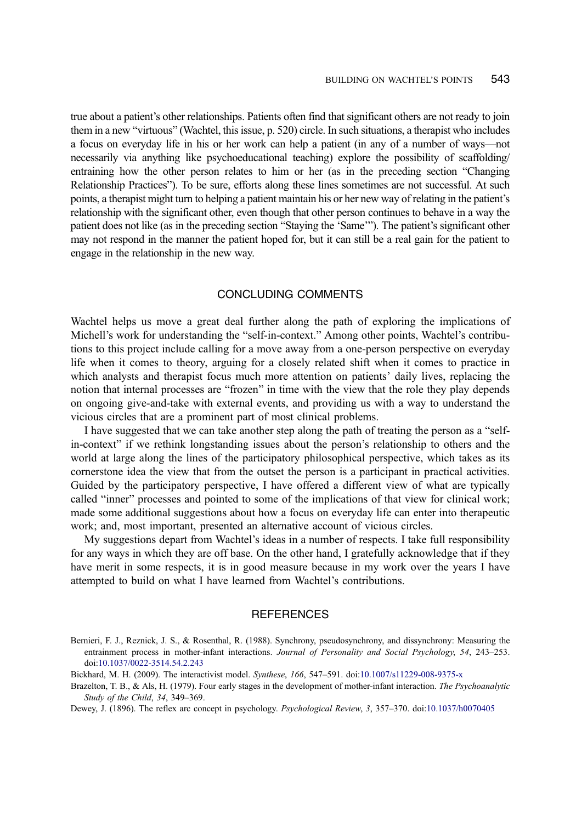<span id="page-14-0"></span>true about a patient's other relationships. Patients often find that significant others are not ready to join them in a new "virtuous" (Wachtel, this issue, p. 520) circle. In such situations, a therapist who includes a focus on everyday life in his or her work can help a patient (in any of a number of ways—not necessarily via anything like psychoeducational teaching) explore the possibility of scaffolding/ entraining how the other person relates to him or her (as in the preceding section "Changing Relationship Practices"). To be sure, efforts along these lines sometimes are not successful. At such points, a therapist might turn to helping a patient maintain his or her new way of relating in the patient's relationship with the significant other, even though that other person continues to behave in a way the patient does not like (as in the preceding section "Staying the 'Same'"). The patient's significant other may not respond in the manner the patient hoped for, but it can still be a real gain for the patient to engage in the relationship in the new way.

## CONCLUDING COMMENTS

Wachtel helps us move a great deal further along the path of exploring the implications of Michell's work for understanding the "self-in-context." Among other points, Wachtel's contributions to this project include calling for a move away from a one-person perspective on everyday life when it comes to theory, arguing for a closely related shift when it comes to practice in which analysts and therapist focus much more attention on patients' daily lives, replacing the notion that internal processes are "frozen" in time with the view that the role they play depends on ongoing give-and-take with external events, and providing us with a way to understand the vicious circles that are a prominent part of most clinical problems.

I have suggested that we can take another step along the path of treating the person as a "selfin-context" if we rethink longstanding issues about the person's relationship to others and the world at large along the lines of the participatory philosophical perspective, which takes as its cornerstone idea the view that from the outset the person is a participant in practical activities. Guided by the participatory perspective, I have offered a different view of what are typically called "inner" processes and pointed to some of the implications of that view for clinical work; made some additional suggestions about how a focus on everyday life can enter into therapeutic work; and, most important, presented an alternative account of vicious circles.

My suggestions depart from Wachtel's ideas in a number of respects. I take full responsibility for any ways in which they are off base. On the other hand, I gratefully acknowledge that if they have merit in some respects, it is in good measure because in my work over the years I have attempted to build on what I have learned from Wachtel's contributions.

# **REFERENCES**

Bernieri, F. J., Reznick, J. S., & Rosenthal, R. (1988). Synchrony, pseudosynchrony, and dissynchrony: Measuring the entrainment process in mother-infant interactions. Journal of Personality and Social Psychology, 54, 243–253. doi:[10.1037/0022-3514.54.2.243](http://dx.doi.org/10.1037/0022-3514.54.2.243)

Bickhard, M. H. (2009). The interactivist model. Synthese, 166, 547–591. doi[:10.1007/s11229-008-9375-x](http://dx.doi.org/10.1007/s11229-008-9375-x)

Brazelton, T. B., & Als, H. (1979). Four early stages in the development of mother-infant interaction. The Psychoanalytic Study of the Child, 34, 349–369.

Dewey, J. (1896). The reflex arc concept in psychology. Psychological Review, 3, 357–370. doi[:10.1037/h0070405](http://dx.doi.org/10.1037/h0070405)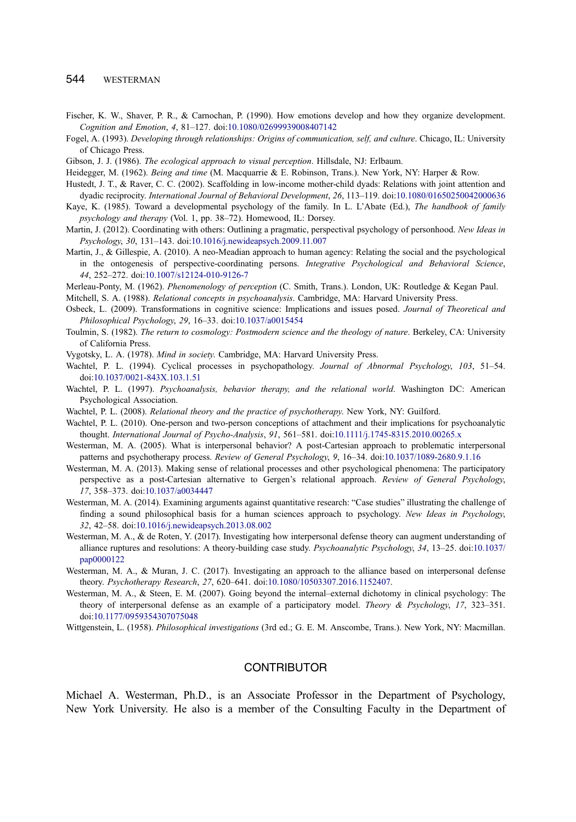- <span id="page-15-0"></span>Fischer, K. W., Shaver, P. R., & Carnochan, P. (1990). How emotions develop and how they organize development. Cognition and Emotion, 4, 81–127. doi[:10.1080/02699939008407142](http://dx.doi.org/10.1080/02699939008407142)
- Fogel, A. (1993). Developing through relationships: Origins of communication, self, and culture. Chicago, IL: University of Chicago Press.
- Gibson, J. J. (1986). The ecological approach to visual perception. Hillsdale, NJ: Erlbaum.
- Heidegger, M. (1962). Being and time (M. Macquarrie & E. Robinson, Trans.). New York, NY: Harper & Row.
- Hustedt, J. T., & Raver, C. C. (2002). Scaffolding in low-income mother-child dyads: Relations with joint attention and dyadic reciprocity. International Journal of Behavioral Development, 26, 113–119. doi:[10.1080/01650250042000636](http://dx.doi.org/10.1080/01650250042000636)
- Kaye, K. (1985). Toward a developmental psychology of the family. In L. L'Abate (Ed.), The handbook of family psychology and therapy (Vol. 1, pp. 38–72). Homewood, IL: Dorsey.
- Martin, J. (2012). Coordinating with others: Outlining a pragmatic, perspectival psychology of personhood. New Ideas in Psychology, 30, 131–143. doi[:10.1016/j.newideapsych.2009.11.007](http://dx.doi.org/10.1016/j.newideapsych.2009.11.007)
- Martin, J., & Gillespie, A. (2010). A neo-Meadian approach to human agency: Relating the social and the psychological in the ontogenesis of perspective-coordinating persons. Integrative Psychological and Behavioral Science, 44, 252–272. doi[:10.1007/s12124-010-9126-7](http://dx.doi.org/10.1007/s12124-010-9126-7)
- Merleau-Ponty, M. (1962). Phenomenology of perception (C. Smith, Trans.). London, UK: Routledge & Kegan Paul.

Mitchell, S. A. (1988). Relational concepts in psychoanalysis. Cambridge, MA: Harvard University Press.

- Osbeck, L. (2009). Transformations in cognitive science: Implications and issues posed. Journal of Theoretical and Philosophical Psychology, 29, 16–33. doi:[10.1037/a0015454](http://dx.doi.org/10.1037/a0015454)
- Toulmin, S. (1982). The return to cosmology: Postmodern science and the theology of nature. Berkeley, CA: University of California Press.
- Vygotsky, L. A. (1978). Mind in society. Cambridge, MA: Harvard University Press.
- Wachtel, P. L. (1994). Cyclical processes in psychopathology. Journal of Abnormal Psychology, 103, 51–54. doi[:10.1037/0021-843X.103.1.51](http://dx.doi.org/10.1037/0021-843X.103.1.51)
- Wachtel, P. L. (1997). Psychoanalysis, behavior therapy, and the relational world. Washington DC: American Psychological Association.
- Wachtel, P. L. (2008). Relational theory and the practice of psychotherapy. New York, NY: Guilford.
- Wachtel, P. L. (2010). One-person and two-person conceptions of attachment and their implications for psychoanalytic thought. International Journal of Psycho-Analysis, 91, 561–581. doi:[10.1111/j.1745-8315.2010.00265.x](http://dx.doi.org/10.1111/j.1745-8315.2010.00265.x)
- Westerman, M. A. (2005). What is interpersonal behavior? A post-Cartesian approach to problematic interpersonal patterns and psychotherapy process. Review of General Psychology, 9, 16–34. doi[:10.1037/1089-2680.9.1.16](http://dx.doi.org/10.1037/1089-2680.9.1.16)
- Westerman, M. A. (2013). Making sense of relational processes and other psychological phenomena: The participatory perspective as a post-Cartesian alternative to Gergen's relational approach. Review of General Psychology, 17, 358–373. doi[:10.1037/a0034447](http://dx.doi.org/10.1037/a0034447)
- Westerman, M. A. (2014). Examining arguments against quantitative research: "Case studies" illustrating the challenge of finding a sound philosophical basis for a human sciences approach to psychology. New Ideas in Psychology, 32, 42–58. doi[:10.1016/j.newideapsych.2013.08.002](http://dx.doi.org/10.1016/j.newideapsych.2013.08.002)
- Westerman, M. A., & de Roten, Y. (2017). Investigating how interpersonal defense theory can augment understanding of alliance ruptures and resolutions: A theory-building case study. Psychoanalytic Psychology, 34, 13–25. doi[:10.1037/](http://dx.doi.org/10.1037/pap0000122) [pap0000122](http://dx.doi.org/10.1037/pap0000122)
- Westerman, M. A., & Muran, J. C. (2017). Investigating an approach to the alliance based on interpersonal defense theory. Psychotherapy Research, 27, 620–641. doi[:10.1080/10503307.2016.1152407.](http://dx.doi.org/10.1080/10503307.2016.1152407)
- Westerman, M. A., & Steen, E. M. (2007). Going beyond the internal–external dichotomy in clinical psychology: The theory of interpersonal defense as an example of a participatory model. Theory & Psychology, 17, 323–351. doi[:10.1177/0959354307075048](http://dx.doi.org/10.1177/0959354307075048)
- Wittgenstein, L. (1958). Philosophical investigations (3rd ed.; G. E. M. Anscombe, Trans.). New York, NY: Macmillan.

# **CONTRIBUTOR**

Michael A. Westerman, Ph.D., is an Associate Professor in the Department of Psychology, New York University. He also is a member of the Consulting Faculty in the Department of